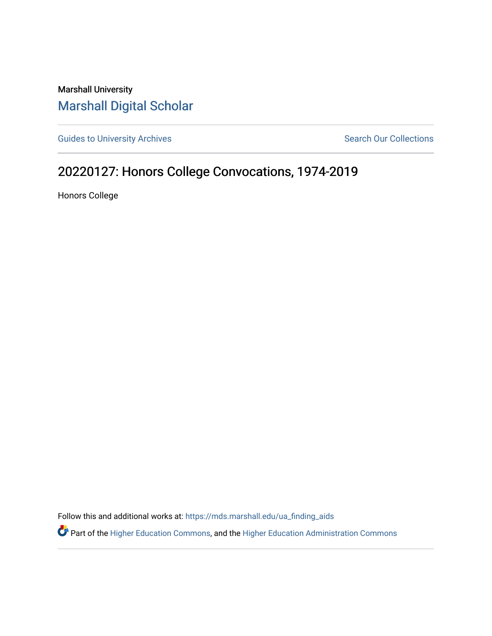Marshall University [Marshall Digital Scholar](https://mds.marshall.edu/)

[Guides to University Archives](https://mds.marshall.edu/ua_finding_aids) **Search Our Collections** Search Our Collections

## 20220127: Honors College Convocations, 1974-2019

Honors College

Follow this and additional works at: [https://mds.marshall.edu/ua\\_finding\\_aids](https://mds.marshall.edu/ua_finding_aids?utm_source=mds.marshall.edu%2Fua_finding_aids%2F69&utm_medium=PDF&utm_campaign=PDFCoverPages) 

Part of the [Higher Education Commons,](http://network.bepress.com/hgg/discipline/1245?utm_source=mds.marshall.edu%2Fua_finding_aids%2F69&utm_medium=PDF&utm_campaign=PDFCoverPages) and the [Higher Education Administration Commons](http://network.bepress.com/hgg/discipline/791?utm_source=mds.marshall.edu%2Fua_finding_aids%2F69&utm_medium=PDF&utm_campaign=PDFCoverPages)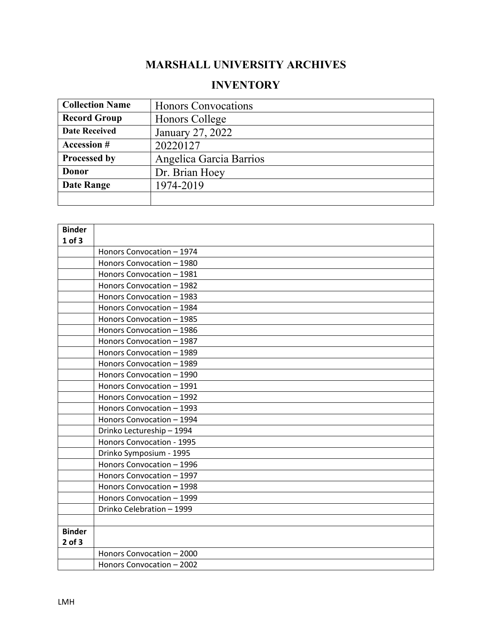## **MARSHALL UNIVERSITY ARCHIVES**

## **INVENTORY**

| <b>Collection Name</b> | <b>Honors Convocations</b> |
|------------------------|----------------------------|
| <b>Record Group</b>    | Honors College             |
| <b>Date Received</b>   | January 27, 2022           |
| <b>Accession #</b>     | 20220127                   |
| Processed by           | Angelica Garcia Barrios    |
| Donor                  | Dr. Brian Hoey             |
| <b>Date Range</b>      | 1974-2019                  |
|                        |                            |

| <b>Binder</b> |                           |
|---------------|---------------------------|
| $1$ of $3$    |                           |
|               | Honors Convocation - 1974 |
|               | Honors Convocation - 1980 |
|               | Honors Convocation - 1981 |
|               | Honors Convocation - 1982 |
|               | Honors Convocation - 1983 |
|               | Honors Convocation - 1984 |
|               | Honors Convocation - 1985 |
|               | Honors Convocation - 1986 |
|               | Honors Convocation - 1987 |
|               | Honors Convocation - 1989 |
|               | Honors Convocation - 1989 |
|               | Honors Convocation - 1990 |
|               | Honors Convocation - 1991 |
|               | Honors Convocation - 1992 |
|               | Honors Convocation - 1993 |
|               | Honors Convocation - 1994 |
|               | Drinko Lectureship - 1994 |
|               | Honors Convocation - 1995 |
|               | Drinko Symposium - 1995   |
|               | Honors Convocation - 1996 |
|               | Honors Convocation - 1997 |
|               | Honors Convocation - 1998 |
|               | Honors Convocation - 1999 |
|               | Drinko Celebration - 1999 |
|               |                           |
| <b>Binder</b> |                           |
| $2$ of $3$    |                           |
|               | Honors Convocation - 2000 |
|               | Honors Convocation - 2002 |